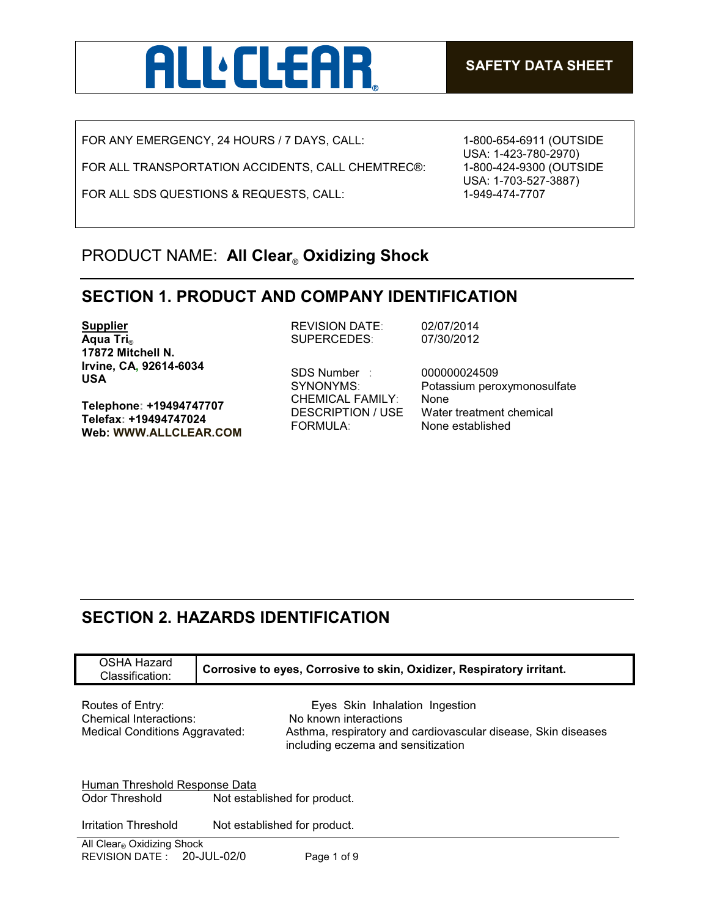

FOR ANY EMERGENCY, 24 HOURS / 7 DAYS, CALL:

FOR ALL TRANSPORTATION ACCIDENTS, CALL CHEMTREC®:

FOR ALL SDS QUESTIONS & REQUESTS, CALL:

1-800-654-6911 (OUTSIDE USA: 1-423-780-2970) 1-800-424-9300 (OUTSIDE USA: 1-703-527-3887) 1-949-474-7707

# PRODUCT NAME: **All Clear**® **Oxidizing Shock**

#### **SECTION 1. PRODUCT AND COMPANY IDENTIFICATION**

**Supplier Aqua Tri**® **17872 Mitchell N. Irvine, CA, 92614-6034 USA**

**Telephone: +19494747707 Telefax: +19494747024 Web: WWW.ALLCLEAR.COM**  REVISION DATE: 02/07/2014 SUPERCEDES: 07/30/2012

SDS Number : 000000024509 CHEMICAL FAMILY: None FORMULA: None established

SYNONYMS: Potassium peroxymonosulfate DESCRIPTION / USE Water treatment chemical

# **SECTION 2. HAZARDS IDENTIFICATION**

| OSHA Hazard<br>Classification:                                                      |  | Corrosive to eyes, Corrosive to skin, Oxidizer, Respiratory irritant.                                                                                          |
|-------------------------------------------------------------------------------------|--|----------------------------------------------------------------------------------------------------------------------------------------------------------------|
| Routes of Entry:<br>Chemical Interactions:<br><b>Medical Conditions Aggravated:</b> |  | Eyes Skin Inhalation Ingestion<br>No known interactions<br>Asthma, respiratory and cardiovascular disease, Skin diseases<br>including eczema and sensitization |
| Human Threshold Response Data<br>Odor Threshold<br>Not established for product.     |  |                                                                                                                                                                |
| Irritation Threshold                                                                |  | Not established for product.                                                                                                                                   |
| All Clear® Oxidizing Shock<br>REVISION DATE: 20-JUL-02/0                            |  | Page 1 of 9                                                                                                                                                    |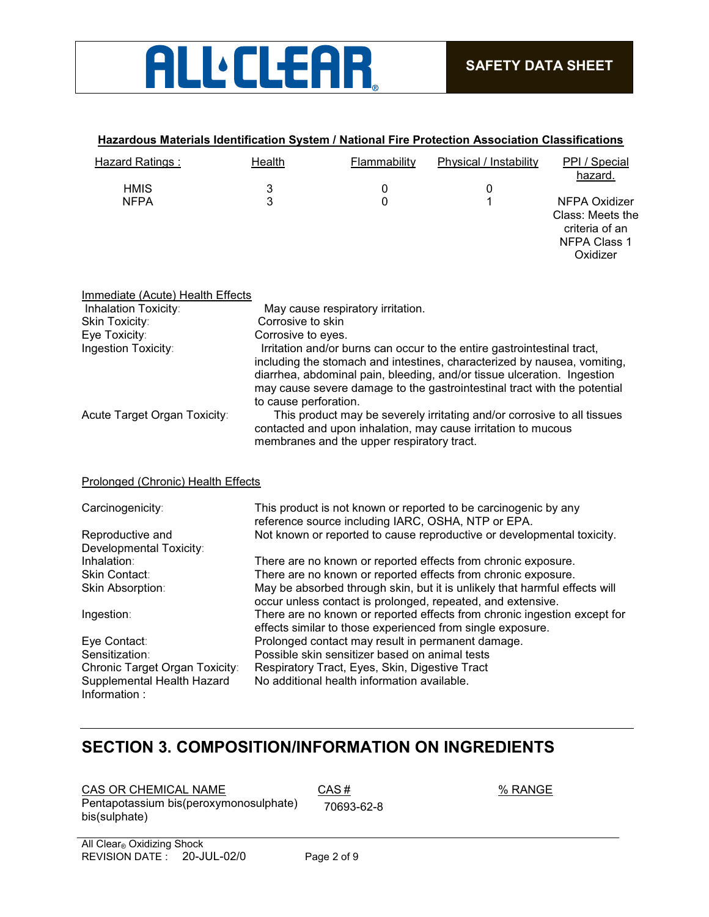

| Hazardous Materials Identification System / National Fire Protection Association Classifications |  |
|--------------------------------------------------------------------------------------------------|--|
|                                                                                                  |  |

| Hazard Ratings: | Health | Flammability | Physical / Instability | PPI / Special<br>hazard.                                                               |
|-----------------|--------|--------------|------------------------|----------------------------------------------------------------------------------------|
| <b>HMIS</b>     | 3      |              | 0                      |                                                                                        |
| <b>NFPA</b>     | 3      |              |                        | NFPA Oxidizer<br>Class: Meets the<br>criteria of an<br><b>NFPA Class 1</b><br>Oxidizer |

| Immediate (Acute) Health Effects |
|----------------------------------|
|----------------------------------|

| Inhalation Toxicity:               | May cause respiratory irritation.                                                                                                                                                                                                                                                                                                   |
|------------------------------------|-------------------------------------------------------------------------------------------------------------------------------------------------------------------------------------------------------------------------------------------------------------------------------------------------------------------------------------|
| Skin Toxicity:                     | Corrosive to skin                                                                                                                                                                                                                                                                                                                   |
| Eye Toxicity:                      | Corrosive to eyes.                                                                                                                                                                                                                                                                                                                  |
| Ingestion Toxicity:                | Irritation and/or burns can occur to the entire gastrointestinal tract,<br>including the stomach and intestines, characterized by nausea, vomiting,<br>diarrhea, abdominal pain, bleeding, and/or tissue ulceration. Ingestion<br>may cause severe damage to the gastrointestinal tract with the potential<br>to cause perforation. |
| Acute Target Organ Toxicity:       | This product may be severely irritating and/or corrosive to all tissues<br>contacted and upon inhalation, may cause irritation to mucous<br>membranes and the upper respiratory tract.                                                                                                                                              |
| Prolonged (Chronic) Health Effects |                                                                                                                                                                                                                                                                                                                                     |
| Carcinogenicity:                   | This product is not known or reported to be carcinogenic by any<br>reference source including IARC, OSHA, NTP or EPA.                                                                                                                                                                                                               |
| Reproductive and                   | Not known or reported to cause reproductive or developmental toxicity.                                                                                                                                                                                                                                                              |
| Developmental Toxicity:            |                                                                                                                                                                                                                                                                                                                                     |
| Inhalation:                        | There are no known or reported effects from chronic exposure.                                                                                                                                                                                                                                                                       |
| Skin Contact:                      | There are no known or reported effects from chronic exposure.                                                                                                                                                                                                                                                                       |
| Skin Absorption:                   | May be absorbed through skin, but it is unlikely that harmful effects will                                                                                                                                                                                                                                                          |
|                                    | occur unless contact is prolonged, repeated, and extensive.                                                                                                                                                                                                                                                                         |
| Ingestion:                         | There are no known or reported effects from chronic ingestion except for<br>effects similar to those experienced from single exposure.                                                                                                                                                                                              |
| Eye Contact:                       | Prolonged contact may result in permanent damage.                                                                                                                                                                                                                                                                                   |
| Sensitization:                     | Possible skin sensitizer based on animal tests                                                                                                                                                                                                                                                                                      |
| Chronic Target Organ Toxicity:     | Respiratory Tract, Eyes, Skin, Digestive Tract                                                                                                                                                                                                                                                                                      |
| Supplemental Health Hazard         | No additional health information available.                                                                                                                                                                                                                                                                                         |
| Information:                       |                                                                                                                                                                                                                                                                                                                                     |

# **SECTION 3. COMPOSITION/INFORMATION ON INGREDIENTS**

 $CAS OR CHEMICAL NAME$   $CAS #$   $% RANGE$ Pentapotassium bis(peroxymonosulphate) bis(sulphate) 70693-62-8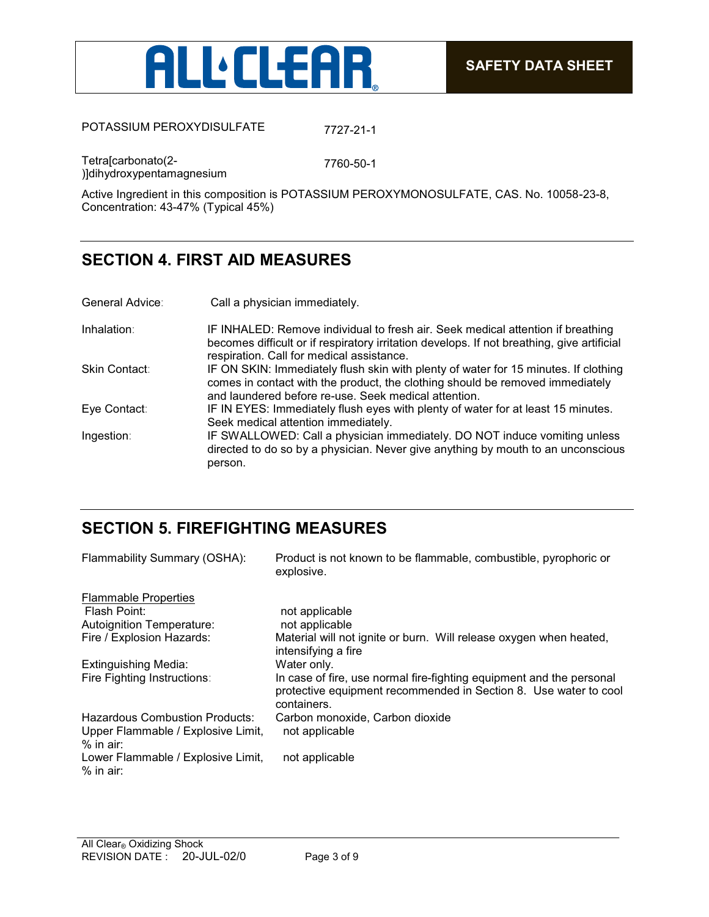

POTASSIUM PEROXYDISULFATE 7727-21-1

Tetra[carbonato(2- )]dihydroxypentamagnesium 7760-50-1

Active Ingredient in this composition is POTASSIUM PEROXYMONOSULFATE, CAS. No. 10058-23-8, Concentration: 43-47% (Typical 45%)

# **SECTION 4. FIRST AID MEASURES**

| General Advice: | Call a physician immediately. |
|-----------------|-------------------------------|
|                 |                               |

| Inhalation:   | IF INHALED: Remove individual to fresh air. Seek medical attention if breathing<br>becomes difficult or if respiratory irritation develops. If not breathing, give artificial<br>respiration. Call for medical assistance. |
|---------------|----------------------------------------------------------------------------------------------------------------------------------------------------------------------------------------------------------------------------|
| Skin Contact: | IF ON SKIN: Immediately flush skin with plenty of water for 15 minutes. If clothing<br>comes in contact with the product, the clothing should be removed immediately                                                       |
|               | and laundered before re-use. Seek medical attention.                                                                                                                                                                       |
| Eye Contact:  | IF IN EYES: Immediately flush eyes with plenty of water for at least 15 minutes.<br>Seek medical attention immediately.                                                                                                    |
| Ingestion:    | IF SWALLOWED: Call a physician immediately. DO NOT induce vomiting unless<br>directed to do so by a physician. Never give anything by mouth to an unconscious<br>person.                                                   |

# **SECTION 5. FIREFIGHTING MEASURES**

| Flammability Summary (OSHA):                      | Product is not known to be flammable, combustible, pyrophoric or<br>explosive.                                                                          |
|---------------------------------------------------|---------------------------------------------------------------------------------------------------------------------------------------------------------|
| <b>Flammable Properties</b>                       |                                                                                                                                                         |
| Flash Point:                                      | not applicable                                                                                                                                          |
| <b>Autoignition Temperature:</b>                  | not applicable                                                                                                                                          |
| Fire / Explosion Hazards:                         | Material will not ignite or burn. Will release oxygen when heated,<br>intensifying a fire                                                               |
| <b>Extinguishing Media:</b>                       | Water only.                                                                                                                                             |
| Fire Fighting Instructions:                       | In case of fire, use normal fire-fighting equipment and the personal<br>protective equipment recommended in Section 8. Use water to cool<br>containers. |
| <b>Hazardous Combustion Products:</b>             | Carbon monoxide, Carbon dioxide                                                                                                                         |
| Upper Flammable / Explosive Limit,                | not applicable                                                                                                                                          |
| $%$ in air:                                       |                                                                                                                                                         |
| Lower Flammable / Explosive Limit,<br>$%$ in air: | not applicable                                                                                                                                          |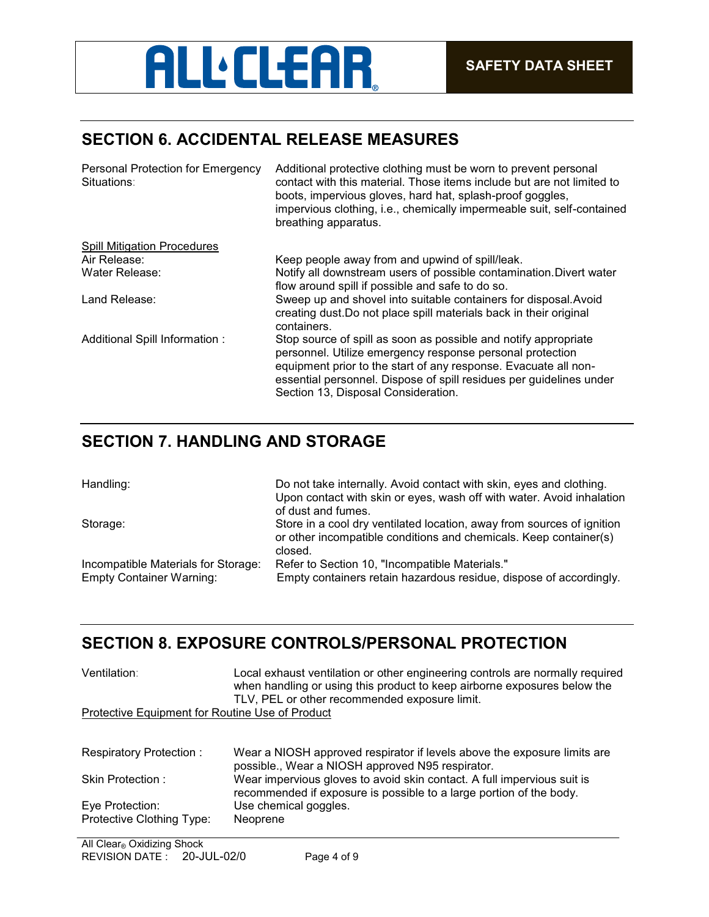# **ALL'CLEAR**

# **SECTION 6. ACCIDENTAL RELEASE MEASURES**

| Personal Protection for Emergency<br>Situations: | Additional protective clothing must be worn to prevent personal<br>contact with this material. Those items include but are not limited to<br>boots, impervious gloves, hard hat, splash-proof goggles,<br>impervious clothing, i.e., chemically impermeable suit, self-contained<br>breathing apparatus.      |
|--------------------------------------------------|---------------------------------------------------------------------------------------------------------------------------------------------------------------------------------------------------------------------------------------------------------------------------------------------------------------|
| <b>Spill Mitigation Procedures</b>               |                                                                                                                                                                                                                                                                                                               |
| Air Release:                                     | Keep people away from and upwind of spill/leak.                                                                                                                                                                                                                                                               |
| Water Release:                                   | Notify all downstream users of possible contamination. Divert water<br>flow around spill if possible and safe to do so.                                                                                                                                                                                       |
| Land Release:                                    | Sweep up and shovel into suitable containers for disposal. Avoid<br>creating dust. Do not place spill materials back in their original<br>containers.                                                                                                                                                         |
| Additional Spill Information:                    | Stop source of spill as soon as possible and notify appropriate<br>personnel. Utilize emergency response personal protection<br>equipment prior to the start of any response. Evacuate all non-<br>essential personnel. Dispose of spill residues per guidelines under<br>Section 13, Disposal Consideration. |

# **SECTION 7. HANDLING AND STORAGE**

| Handling:                                                              | Do not take internally. Avoid contact with skin, eyes and clothing.<br>Upon contact with skin or eyes, wash off with water. Avoid inhalation<br>of dust and fumes. |
|------------------------------------------------------------------------|--------------------------------------------------------------------------------------------------------------------------------------------------------------------|
| Storage:                                                               | Store in a cool dry ventilated location, away from sources of ignition<br>or other incompatible conditions and chemicals. Keep container(s)<br>closed.             |
| Incompatible Materials for Storage:<br><b>Empty Container Warning:</b> | Refer to Section 10, "Incompatible Materials."<br>Empty containers retain hazardous residue, dispose of accordingly.                                               |

## **SECTION 8. EXPOSURE CONTROLS/PERSONAL PROTECTION**

| Ventilation:                                    | Local exhaust ventilation or other engineering controls are normally required<br>when handling or using this product to keep airborne exposures below the<br>TLV, PEL or other recommended exposure limit. |  |
|-------------------------------------------------|------------------------------------------------------------------------------------------------------------------------------------------------------------------------------------------------------------|--|
| Protective Equipment for Routine Use of Product |                                                                                                                                                                                                            |  |
| Respiratory Protection:                         | Wear a NIOSH approved respirator if levels above the exposure limits are<br>possible., Wear a NIOSH approved N95 respirator.                                                                               |  |
| Skin Protection:                                | Wear impervious gloves to avoid skin contact. A full impervious suit is<br>recommended if exposure is possible to a large portion of the body.                                                             |  |
| Eye Protection:                                 | Use chemical goggles.                                                                                                                                                                                      |  |
| Protective Clothing Type:                       | Neoprene                                                                                                                                                                                                   |  |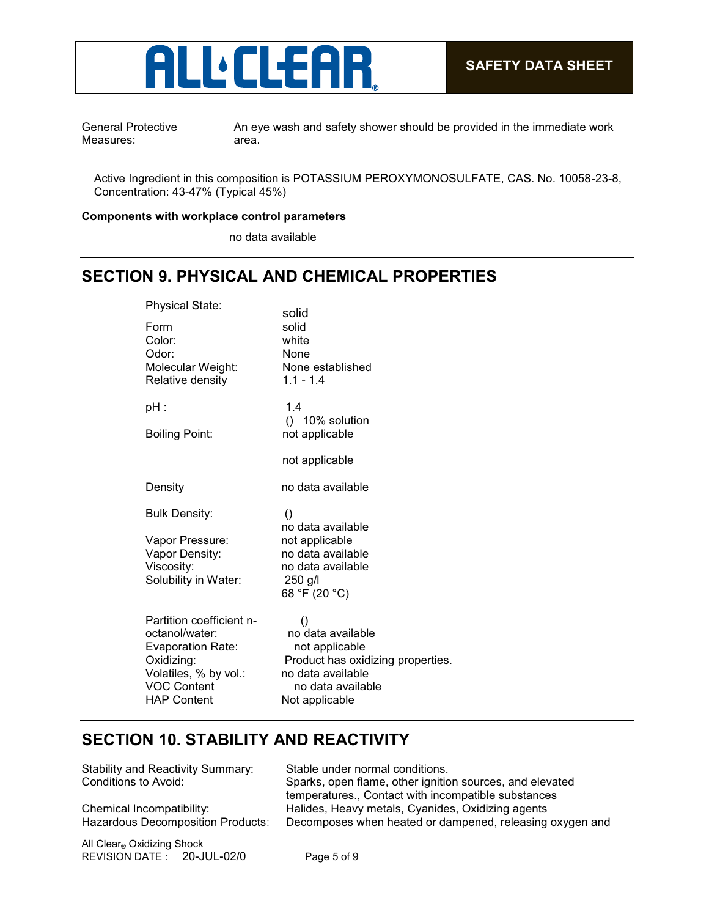

General Protective Measures:

An eye wash and safety shower should be provided in the immediate work area.

Active Ingredient in this composition is POTASSIUM PEROXYMONOSULFATE, CAS. No. 10058-23-8, Concentration: 43-47% (Typical 45%)

#### **Components with workplace control parameters**

no data available

#### **SECTION 9. PHYSICAL AND CHEMICAL PROPERTIES**

| solid<br>solid<br>white<br>None<br>None established<br>$1.1 - 1.4$                                                                                       |
|----------------------------------------------------------------------------------------------------------------------------------------------------------|
| 1.4<br>() 10% solution<br>not applicable<br>not applicable                                                                                               |
| no data available                                                                                                                                        |
| $\left( \right)$<br>no data available<br>not applicable<br>no data available<br>no data available<br>250 g/l<br>68 °F (20 °C)                            |
| $\left( \right)$<br>no data available<br>not applicable<br>Product has oxidizing properties.<br>no data available<br>no data available<br>Not applicable |
|                                                                                                                                                          |

## **SECTION 10. STABILITY AND REACTIVITY**

| <b>Stability and Reactivity Summary:</b> |  |
|------------------------------------------|--|
| Conditions to Avoid:                     |  |

Stable under normal conditions. Sparks, open flame, other ignition sources, and elevated temperatures., Contact with incompatible substances Chemical Incompatibility: Halides, Heavy metals, Cyanides, Oxidizing agents Hazardous Decomposition Products: Decomposes when heated or dampened, releasing oxygen and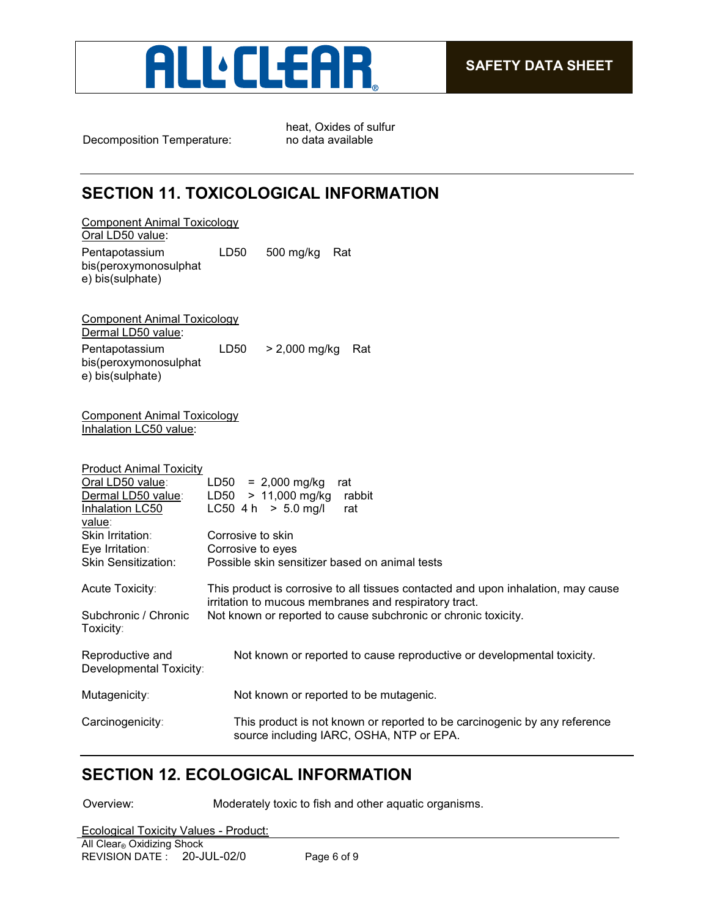

Decomposition Temperature:

heat, Oxides of sulfur

# **SECTION 11. TOXICOLOGICAL INFORMATION**

| Component Animal Toxicology<br>Oral LD50 value:                                                                                                                            |                                                                                                                                                                                                              |
|----------------------------------------------------------------------------------------------------------------------------------------------------------------------------|--------------------------------------------------------------------------------------------------------------------------------------------------------------------------------------------------------------|
| Pentapotassium<br>bis(peroxymonosulphat<br>e) bis(sulphate)                                                                                                                | LD50<br>500 mg/kg<br>Rat                                                                                                                                                                                     |
| <b>Component Animal Toxicology</b><br>Dermal LD50 value:<br>Pentapotassium<br>bis(peroxymonosulphat<br>e) bis(sulphate)                                                    | LD50<br>$> 2,000$ mg/kg<br>Rat                                                                                                                                                                               |
| <b>Component Animal Toxicology</b><br>Inhalation LC50 value:                                                                                                               |                                                                                                                                                                                                              |
| <b>Product Animal Toxicity</b><br>Oral LD50 value:<br>Dermal LD50 value:<br>Inhalation LC50<br>value:<br>Skin Irritation:<br>Eye Irritation:<br><b>Skin Sensitization:</b> | $= 2,000$ mg/kg<br>LD50<br>rat<br>> 11,000 mg/kg<br>LD50<br>rabbit<br>LC50 4 h $> 5.0$ mg/l<br>rat<br>Corrosive to skin<br>Corrosive to eyes<br>Possible skin sensitizer based on animal tests               |
| Acute Toxicity:<br>Subchronic / Chronic                                                                                                                                    | This product is corrosive to all tissues contacted and upon inhalation, may cause<br>irritation to mucous membranes and respiratory tract.<br>Not known or reported to cause subchronic or chronic toxicity. |
| Toxicity:                                                                                                                                                                  |                                                                                                                                                                                                              |
| Reproductive and<br>Developmental Toxicity:                                                                                                                                | Not known or reported to cause reproductive or developmental toxicity.                                                                                                                                       |
| Mutagenicity:                                                                                                                                                              | Not known or reported to be mutagenic.                                                                                                                                                                       |
| Carcinogenicity:                                                                                                                                                           | This product is not known or reported to be carcinogenic by any reference<br>source including IARC, OSHA, NTP or EPA.                                                                                        |

## **SECTION 12. ECOLOGICAL INFORMATION**

Overview: Moderately toxic to fish and other aquatic organisms.

Ecological Toxicity Values - Product: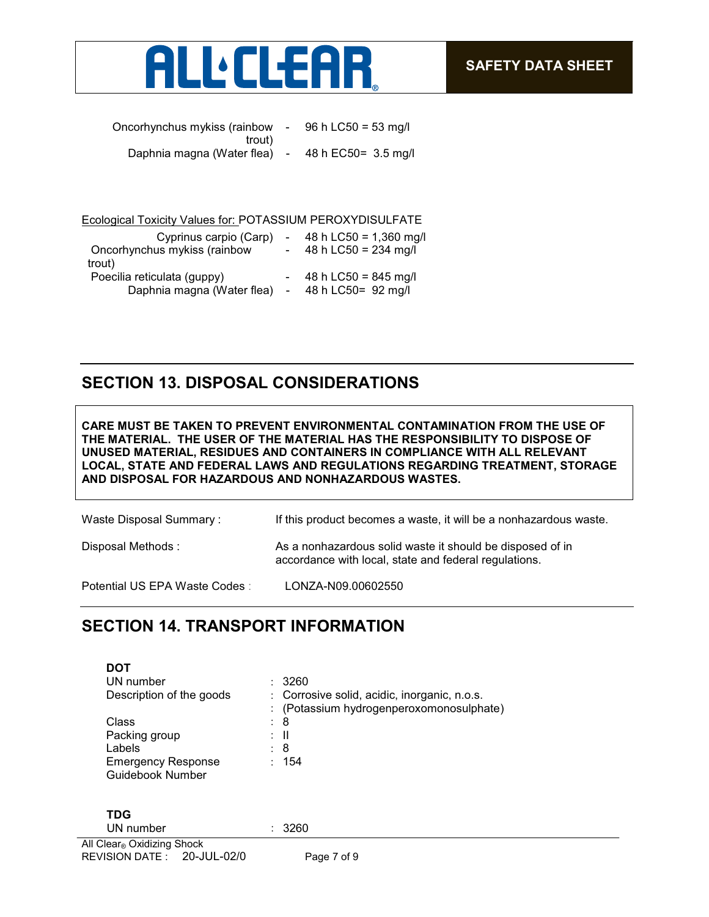

| Oncorhynchus mykiss (rainbow | $\sim$ | 96 h LC50 = 53 mg/l  |
|------------------------------|--------|----------------------|
| trout)                       |        |                      |
| Daphnia magna (Water flea) - |        | 48 h EC50 = 3.5 mg/l |

#### Ecological Toxicity Values for: POTASSIUM PEROXYDISULFATE

| Cyprinus carpio (Carp)<br>Oncorhynchus mykiss (rainbow<br>trout) | 48 h LC50 = $1,360$ mg/l<br>48 h LC50 = $234$ mg/l |
|------------------------------------------------------------------|----------------------------------------------------|
| Poecilia reticulata (guppy)<br>Daphnia magna (Water flea)        | 48 h LC50 = $845$ mg/l<br>48 h LC50= 92 mg/l       |

#### **SECTION 13. DISPOSAL CONSIDERATIONS**

**CARE MUST BE TAKEN TO PREVENT ENVIRONMENTAL CONTAMINATION FROM THE USE OF THE MATERIAL. THE USER OF THE MATERIAL HAS THE RESPONSIBILITY TO DISPOSE OF UNUSED MATERIAL, RESIDUES AND CONTAINERS IN COMPLIANCE WITH ALL RELEVANT LOCAL, STATE AND FEDERAL LAWS AND REGULATIONS REGARDING TREATMENT, STORAGE AND DISPOSAL FOR HAZARDOUS AND NONHAZARDOUS WASTES.** 

| Waste Disposal Summary:        | If this product becomes a waste, it will be a nonhazardous waste.                                                  |
|--------------------------------|--------------------------------------------------------------------------------------------------------------------|
| Disposal Methods :             | As a nonhazardous solid waste it should be disposed of in<br>accordance with local, state and federal regulations. |
| Potential US EPA Waste Codes : | LONZA-N09.00602550                                                                                                 |

## **SECTION 14. TRANSPORT INFORMATION**

| <b>DOT</b>                                    |                                                                                          |
|-----------------------------------------------|------------------------------------------------------------------------------------------|
| UN number                                     | : 3260                                                                                   |
| Description of the goods                      | : Corrosive solid, acidic, inorganic, n.o.s.<br>: (Potassium hydrogenperoxomonosulphate) |
| Class                                         | : 8                                                                                      |
| Packing group                                 | : II                                                                                     |
| Labels                                        | : 8                                                                                      |
| <b>Emergency Response</b><br>Guidebook Number | : 154                                                                                    |
|                                               |                                                                                          |
| <b>TDG</b>                                    |                                                                                          |
| UN number                                     | : 3260                                                                                   |
| All Clear <sub>®</sub> Oxidizing Shock        |                                                                                          |
| REVISION DATE: 20-JUL-02/0                    | Page 7 of 9                                                                              |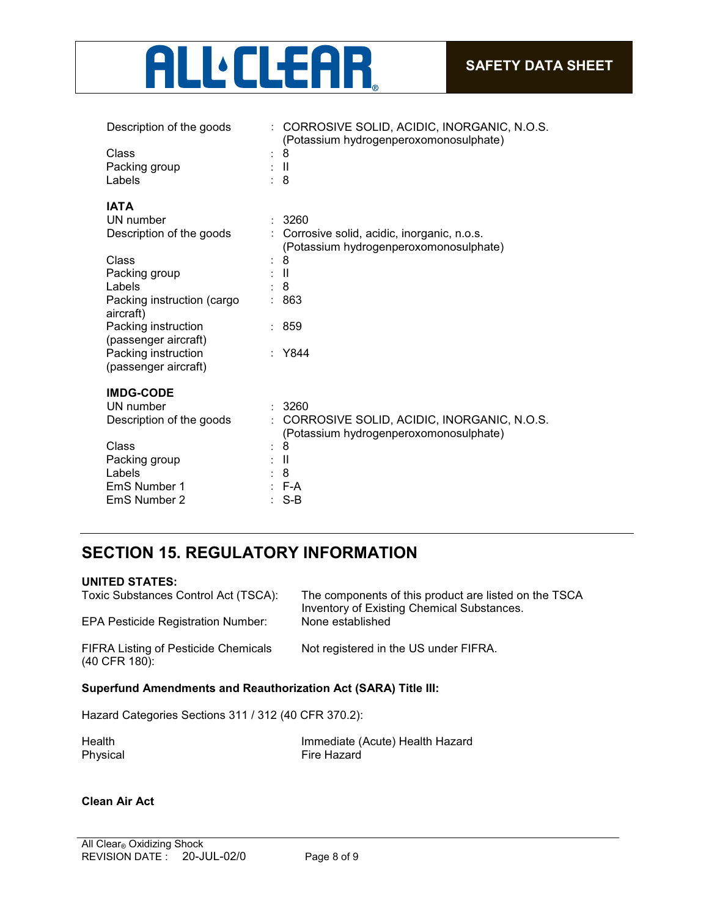

| Description of the goods                    | : CORROSIVE SOLID, ACIDIC, INORGANIC, N.O.S.<br>(Potassium hydrogenperoxomonosulphate) |
|---------------------------------------------|----------------------------------------------------------------------------------------|
| Class                                       | 8                                                                                      |
| Packing group                               | - 11                                                                                   |
| Labels                                      | : 8                                                                                    |
|                                             |                                                                                        |
| <b>IATA</b>                                 |                                                                                        |
| UN number                                   | 3260                                                                                   |
| Description of the goods                    | Corrosive solid, acidic, inorganic, n.o.s.<br>(Potassium hydrogenperoxomonosulphate)   |
| Class                                       | 8                                                                                      |
| Packing group                               | - 11                                                                                   |
| Labels                                      | 8                                                                                      |
| Packing instruction (cargo<br>aircraft)     | 863                                                                                    |
| Packing instruction<br>(passenger aircraft) | : 859                                                                                  |
| Packing instruction                         | : Y844                                                                                 |
| (passenger aircraft)                        |                                                                                        |
| <b>IMDG-CODE</b>                            |                                                                                        |
| UN number                                   | 3260                                                                                   |
| Description of the goods                    | CORROSIVE SOLID, ACIDIC, INORGANIC, N.O.S.                                             |
|                                             | (Potassium hydrogenperoxomonosulphate)                                                 |
| Class                                       | 8                                                                                      |
| Packing group                               | Ħ                                                                                      |
| Labels                                      | 8                                                                                      |
| EmS Number 1                                | F-A                                                                                    |
| EmS Number 2                                | $S-B$                                                                                  |
|                                             |                                                                                        |

# **SECTION 15. REGULATORY INFORMATION**

#### **UNITED STATES:**

| Toxic Substances Control Act (TSCA):<br><b>EPA Pesticide Registration Number:</b> | The components of this product are listed on the TSCA<br>Inventory of Existing Chemical Substances.<br>None established |
|-----------------------------------------------------------------------------------|-------------------------------------------------------------------------------------------------------------------------|
| <b>FIFRA Listing of Pesticide Chemicals</b><br>(40 CFR 180):                      | Not registered in the US under FIFRA.                                                                                   |
| <b>Superfund Amendments and Reauthorization Act (SARA) Title III:</b>             |                                                                                                                         |

Hazard Categories Sections 311 / 312 (40 CFR 370.2):

Health Immediate (Acute) Health Hazard<br>
Physical Communication Christian Eire Hazard Fire Hazard

#### **Clean Air Act**